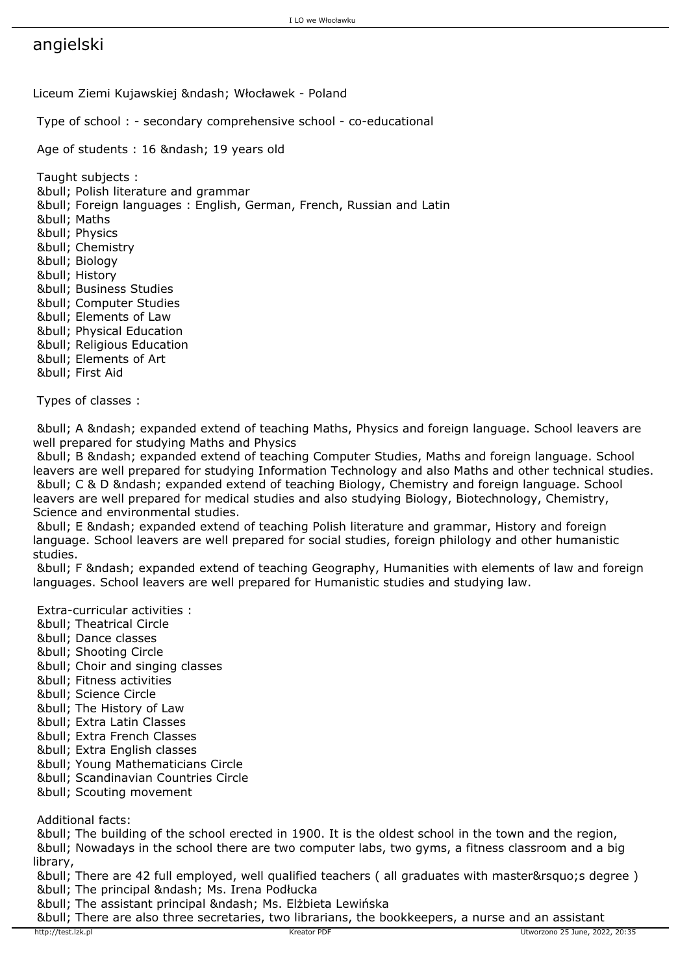## angielski

Liceum Ziemi Kujawskiej – Włocławek - Poland

Type of school : - secondary comprehensive school - co-educational

Age of students : 16 – 19 years old

 Taught subjects : • Polish literature and grammar • Foreign languages : English, German, French, Russian and Latin • Maths • Physics • Chemistry • Biology • History • Business Studies &bull: Computer Studies • Elements of Law • Physical Education • Religious Education • Elements of Art • First Aid

Types of classes :

&bull: A &ndash: expanded extend of teaching Maths, Physics and foreign language. School leavers are well prepared for studying Maths and Physics

 • B – expanded extend of teaching Computer Studies, Maths and foreign language. School leavers are well prepared for studying Information Technology and also Maths and other technical studies. • C & D – expanded extend of teaching Biology, Chemistry and foreign language. School leavers are well prepared for medical studies and also studying Biology, Biotechnology, Chemistry, Science and environmental studies.

• E – expanded extend of teaching Polish literature and grammar, History and foreign language. School leavers are well prepared for social studies, foreign philology and other humanistic studies.

&bull: F &ndash: expanded extend of teaching Geography, Humanities with elements of law and foreign languages. School leavers are well prepared for Humanistic studies and studying law.

Extra-curricular activities :

- Theatrical Circle
- Dance classes
- Shooting Circle
- Choir and singing classes
- Fitness activities
- Science Circle
- The History of Law
- Extra Latin Classes
- Extra French Classes
- Extra English classes
- Young Mathematicians Circle
- Scandinavian Countries Circle
- Scouting movement

Additional facts:

 • The building of the school erected in 1900. It is the oldest school in the town and the region, • Nowadays in the school there are two computer labs, two gyms, a fitness classroom and a big library,

• There are 42 full employed, well qualified teachers ( all graduates with master' degree ) • The principal – Ms. Irena Podłucka

• The assistant principal – Ms. Elżbieta Lewińska

• There are also three secretaries, two librarians, the bookkeepers, a nurse and an assistant